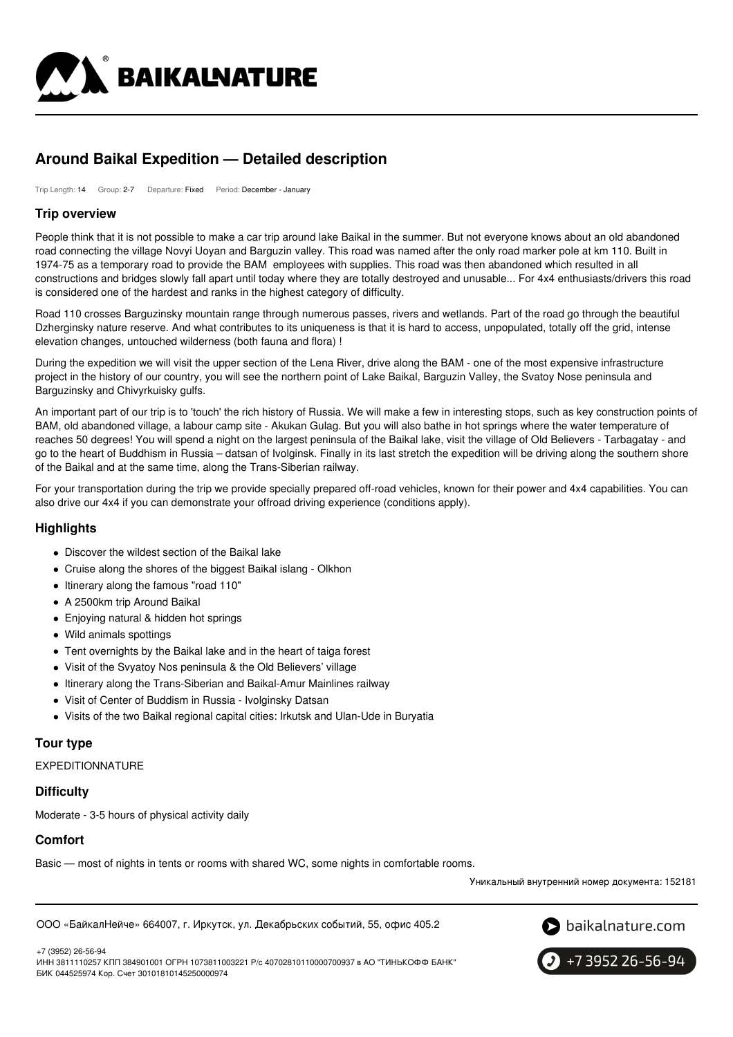

# **Around Baikal Expedition — Detailed description**

Trip Length: 14 Group: 2-7 Departure: Fixed Period: December - January

### **Trip overview**

People think that it is not possible to make a car trip around lake Baikal in the summer. But not everyone knows about an old abandoned road connecting the village Novyi Uoyan and Barguzin valley. This road was named after the only road marker pole at km 110. Built in 1974-75 as a temporary road to provide the BAM employees with supplies. This road was then abandoned which resulted in all constructions and bridges slowly fall apart until today where they are totally destroyed and unusable... For 4x4 enthusiasts/drivers this road is considered one of the hardest and ranks in the highest category of difficulty.

Road 110 crosses Barguzinsky mountain range through numerous passes, rivers and wetlands. Part of the road go through the beautiful Dzherginsky nature reserve. And what contributes to its uniqueness is that it is hard to access, unpopulated, totally off the grid, intense elevation changes, untouched wilderness (both fauna and flora) !

During the expedition we will visit the upper section of the Lena River, drive along the BAM - one of the most expensive infrastructure project in the history of our country, you will see the northern point of Lake Baikal, Barguzin Valley, the Svatoy Nose peninsula and Barguzinsky and Chivyrkuisky gulfs.

An important part of our trip is to 'touch' the rich history of Russia. We will make a few in interesting stops, such as key construction points of BAM, old abandoned village, a labour camp site - Akukan Gulag. But you will also bathe in hot springs where the water temperature of reaches 50 degrees! You will spend a night on the largest peninsula of the Baikal lake, visit the village of Old Believers - Tarbagatay - and go to the heart of Buddhism in Russia – datsan of Ivolginsk. Finally in its last stretch the expedition will be driving along the southern shore of the Baikal and at the same time, along the Trans-Siberian railway.

For your transportation during the trip we provide specially prepared off-road vehicles, known for their power and 4x4 capabilities. You can also drive our 4x4 if you can demonstrate your offroad driving experience (conditions apply).

### **Highlights**

- Discover the wildest section of the Baikal lake
- Cruise along the shores of the biggest Baikal islang Olkhon
- Itinerary along the famous "road 110"
- A 2500km trip Around Baikal
- Enjoying natural & hidden hot springs
- Wild animals spottings
- Tent overnights by the Baikal lake and in the heart of taiga forest
- Visit of the Svyatoy Nos peninsula & the Old Believers' village
- Itinerary along the Trans-Siberian and Baikal-Amur Mainlines railway
- Visit of Center of Buddism in Russia Ivolginsky Datsan
- Visits of the two Baikal regional capital cities: Irkutsk and Ulan-Ude in Buryatia

### **Tour type**

EXPEDITIONNATURE

### **Difficulty**

Moderate - 3-5 hours of physical activity daily

### **Comfort**

Basic — most of nights in tents or rooms with shared WC, some nights in comfortable rooms.

Уникальный внутренний номер документа: 152181

ООО «БайкалНейче» 664007, г. Иркутск, ул. Декабрьских событий, 55, офис 405.2



+7 3952 26-56-94

+7 (3952) 26-56-94

ИНН 3811110257 КПП 384901001 ОГРН 1073811003221 Р/с 40702810110000700937 в АО "ТИНЬКОФФ БАНК" БИК 044525974 Кор. Счет 30101810145250000974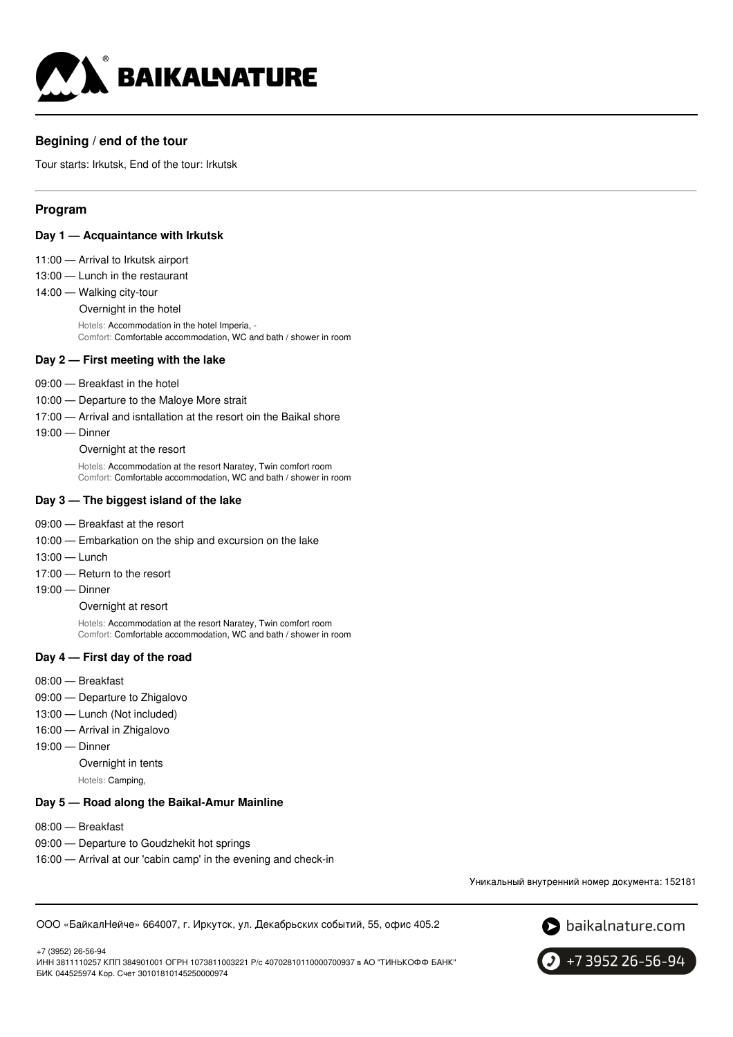

# **Begining / end of the tour**

Tour starts: Irkutsk, End of the tour: Irkutsk

# **Program**

- **Day 1 — Acquaintance with Irkutsk**
- 11:00 Arrival to Irkutsk airport
- 13:00 Lunch in the restaurant
- 14:00 Walking city-tour
	- Overnight in the hotel

Hotels: Accommodation in the hotel Imperia, - Comfort: Comfortable accommodation, WC and bath / shower in room

#### **Day 2 — First meeting with the lake**

- 09:00 Breakfast in the hotel
- 10:00 Departure to the Maloye More strait
- 17:00 Arrival and isntallation at the resort oin the Baikal shore
- 19:00 Dinner
	- Overnight at the resort

Hotels: Accommodation at the resort Naratey, Twin comfort room Comfort: Comfortable accommodation, WC and bath / shower in room

#### **Day 3 — The biggest island of the lake**

- 09:00 Breakfast at the resort
- 10:00 Embarkation on the ship and excursion on the lake
- 13:00 Lunch
- 17:00 Return to the resort
- 19:00 Dinner

#### Overnight at resort

Hotels: Accommodation at the resort Naratey, Twin comfort room Comfort: Comfortable accommodation, WC and bath / shower in room

### **Day 4 — First day of the road**

- 08:00 Breakfast
- 09:00 Departure to Zhigalovo
- 13:00 Lunch (Not included)
- 16:00 Arrival in Zhigalovo
- 19:00 Dinner

Overnight in tents

Hotels: Camping,

### **Day 5 — Road along the Baikal-Amur Mainline**

- 08:00 Breakfast
- 09:00 Departure to Goudzhekit hot springs
- 16:00 Arrival at our 'cabin camp' in the evening and check-in

Уникальный внутренний номер документа: 152181

ООО «БайкалНейче» 664007, г. Иркутск, ул. Декабрьских событий, 55, офис 405.2





ИНН 3811110257 КПП 384901001 ОГРН 1073811003221 Р/с 40702810110000700937 в АО "ТИНЬКОФФ БАНК" БИК 044525974 Кор. Счет 30101810145250000974

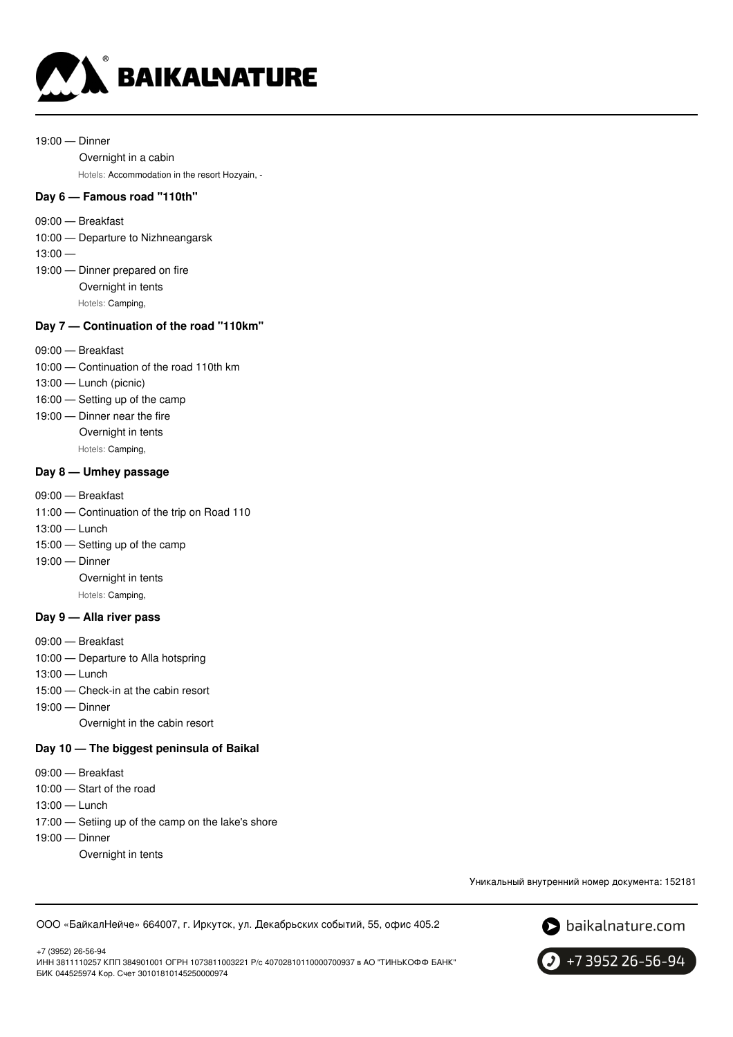

19:00 — Dinner

Overnight in a cabin

Hotels: Accommodation in the resort Hozyain, -

### **Day 6 — Famous road "110th"**

09:00 — Breakfast

10:00 — Departure to Nizhneangarsk

- $13:00 -$
- 19:00 Dinner prepared on fire Overnight in tents Hotels: Camping,

### **Day 7 — Continuation of the road ''110km"**

- 09:00 Breakfast
- 10:00 Continuation of the road 110th km
- 13:00 Lunch (picnic)
- 16:00 Setting up of the camp
- 19:00 Dinner near the fire
	- Overnight in tents

Hotels: Camping,

### **Day 8 — Umhey passage**

- 09:00 Breakfast
- 11:00 Continuation of the trip on Road 110
- 13:00 Lunch
- 15:00 Setting up of the camp
- 19:00 Dinner
	- Overnight in tents

Hotels: Camping,

### **Day 9 — Alla river pass**

- 09:00 Breakfast
- 10:00 Departure to Alla hotspring
- 13:00 Lunch
- 15:00 Check-in at the cabin resort
- 19:00 Dinner

Overnight in the cabin resort

### **Day 10 — The biggest peninsula of Baikal**

- 09:00 Breakfast
- 10:00 Start of the road
- 13:00 Lunch
- 17:00 Setiing up of the camp on the lake's shore
- 19:00 Dinner
	- Overnight in tents

Уникальный внутренний номер документа: 152181

ООО «БайкалНейче» 664007, г. Иркутск, ул. Декабрьских событий, 55, офис 405.2



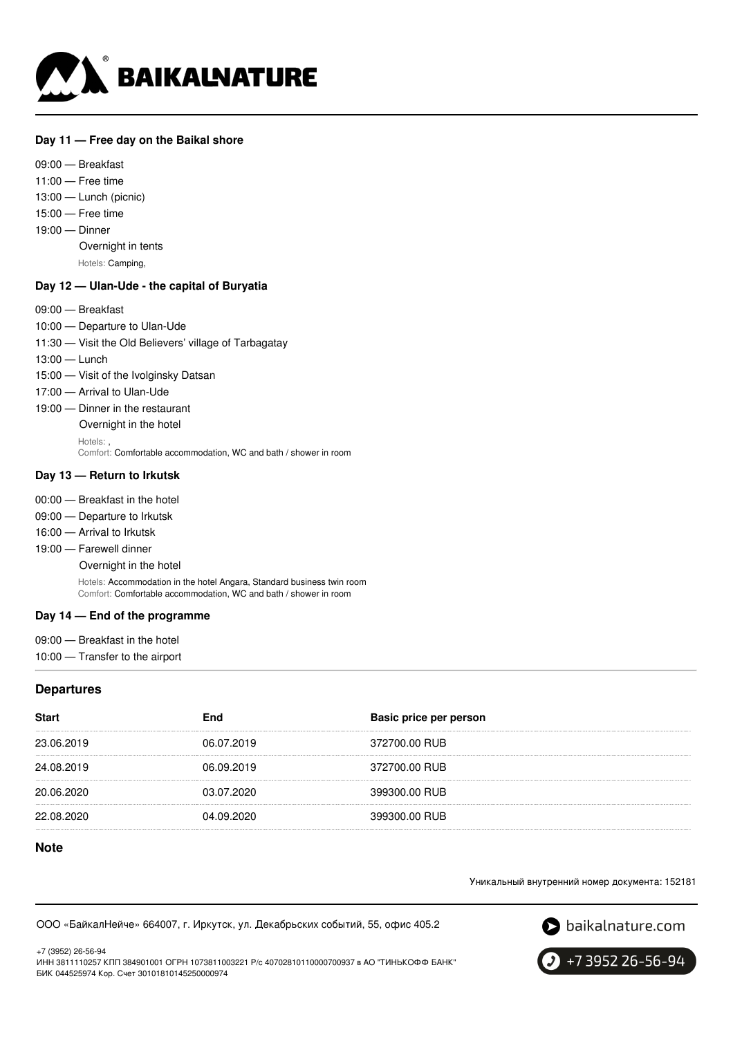

### **Day 11 — Free day on the Baikal shore**

09:00 — Breakfast 11:00 — Free time 13:00 — Lunch (picnic) 15:00 — Free time 19:00 — Dinner Overnight in tents Hotels: Camping,

#### **Day 12 — Ulan-Ude - the capital of Buryatia**

- 09:00 Breakfast
- 10:00 Departure to Ulan-Ude
- 11:30 Visit the Old Believers' village of Tarbagatay
- 13:00 Lunch
- 15:00 Visit of the Ivolginsky Datsan
- 17:00 Arrival to Ulan-Ude
- 19:00 Dinner in the restaurant
	- Overnight in the hotel
	- Hotels: ,

Comfort: Comfortable accommodation, WC and bath / shower in room

#### **Day 13 — Return to Irkutsk**

- 00:00 Breakfast in the hotel
- 09:00 Departure to Irkutsk
- 16:00 Arrival to Irkutsk
- 19:00 Farewell dinner
	- Overnight in the hotel

Hotels: Accommodation in the hotel Angara, Standard business twin room Comfort: Comfortable accommodation, WC and bath / shower in room

### **Day 14 — End of the programme**

- 09:00 Breakfast in the hotel
- 10:00 Transfer to the airport

#### **Departures**

| <b>Start</b> | End        | Basic price per person |
|--------------|------------|------------------------|
| 23.06.2019   | 06.07.2019 | 372700.00 RUB          |
| 24.08.2019   | 06.09.2019 | 372700.00 RUB          |
| 20.06.2020   | 03.07.2020 | 399300.00 RUB          |
| 22.08.2020   | 04.09.2020 | 399300.00 RUB          |

## **Note**

Уникальный внутренний номер документа: 152181

ООО «БайкалНейче» 664007, г. Иркутск, ул. Декабрьских событий, 55, офис 405.2



+7 (3952) 26-56-94 ИНН 3811110257 КПП 384901001 ОГРН 1073811003221 Р/с 40702810110000700937 в АО "ТИНЬКОФФ БАНК" БИК 044525974 Кор. Счет 30101810145250000974

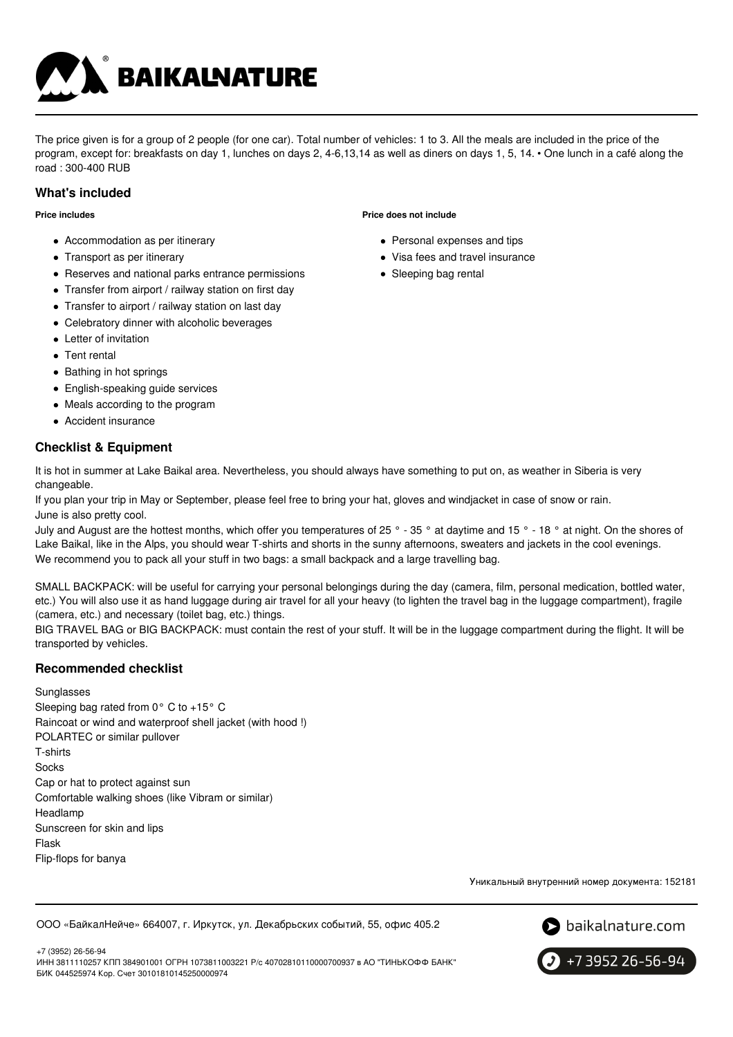

The price given is for a group of 2 people (for one car). Total number of vehicles: 1 to 3. All the meals are included in the price of the program, except for: breakfasts on day 1, lunches on days 2, 4-6,13,14 as well as diners on days 1, 5, 14. • One lunch in a café along the road : 300-400 RUB

### **What's included**

**Price includes**

- Accommodation as per itinerary
- Transport as per itinerary
- Reserves and national parks entrance permissions
- Transfer from airport / railway station on first day
- Transfer to airport / railway station on last day
- Celebratory dinner with alcoholic beverages
- Letter of invitation
- Tent rental
- Bathing in hot springs
- English-speaking guide services
- Meals according to the program
- Accident insurance

# **Checklist & Equipment**

It is hot in summer at Lake Baikal area. Nevertheless, you should always have something to put on, as weather in Siberia is very changeable.

If you plan your trip in May or September, please feel free to bring your hat, gloves and windjacket in case of snow or rain. June is also pretty cool.

July and August are the hottest months, which offer you temperatures of 25 ° - 35 ° at daytime and 15 ° - 18 ° at night. On the shores of Lake Baikal, like in the Alps, you should wear T-shirts and shorts in the sunny afternoons, sweaters and jackets in the cool evenings. We recommend you to pack all your stuff in two bags: a small backpack and a large travelling bag.

SMALL BACKPACK: will be useful for carrying your personal belongings during the day (camera, film, personal medication, bottled water, etc.) You will also use it as hand luggage during air travel for all your heavy (to lighten the travel bag in the luggage compartment), fragile (camera, etc.) and necessary (toilet bag, etc.) things.

BIG TRAVEL BAG or BIG BACKPACK: must contain the rest of your stuff. It will be in the luggage compartment during the flight. It will be transported by vehicles.

# **Recommended checklist**

**Sunglasses** Sleeping bag rated from 0° C to +15° C Raincoat or wind and waterproof shell jacket (with hood !) POLARTEC or similar pullover T-shirts Socks Cap or hat to protect against sun Comfortable walking shoes (like Vibram or similar) Headlamp Sunscreen for skin and lips Flask Flip-flops for banya

Уникальный внутренний номер документа: 152181

ООО «БайкалНейче» 664007, г. Иркутск, ул. Декабрьских событий, 55, офис 405.2





+7 3952 26-56-94

#### **Price does not include**

- Personal expenses and tips
- Visa fees and travel insurance
- Sleeping bag rental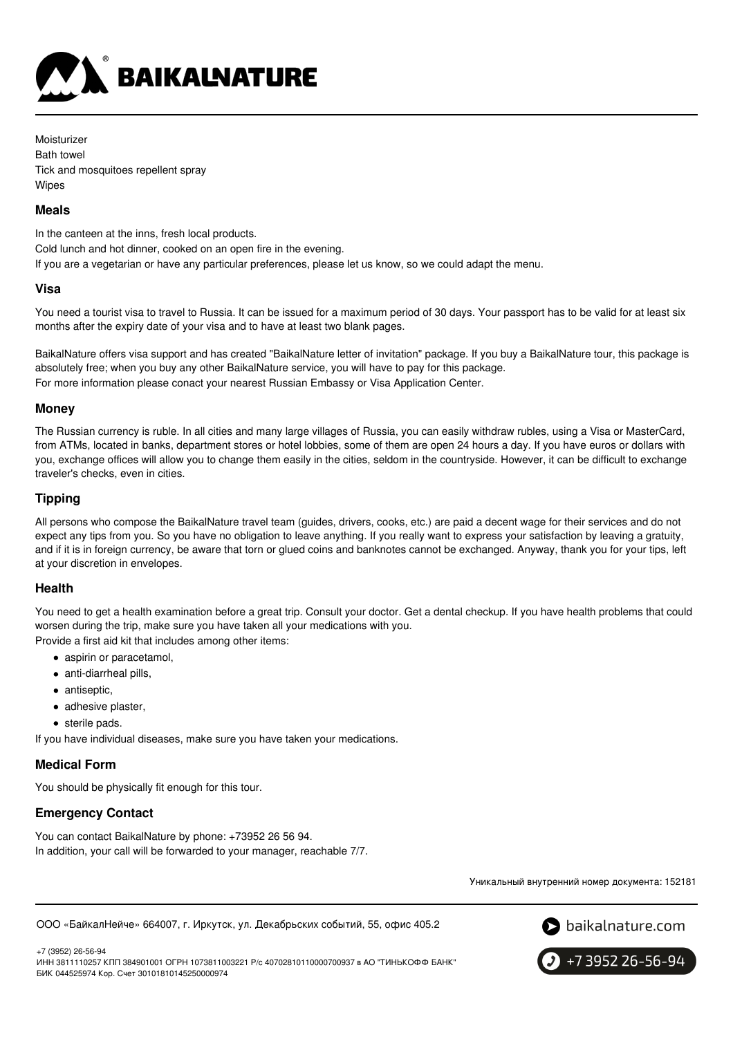

Moisturizer Bath towel Tick and mosquitoes repellent spray Wipes

### **Meals**

In the canteen at the inns, fresh local products. Cold lunch and hot dinner, cooked on an open fire in the evening. If you are a vegetarian or have any particular preferences, please let us know, so we could adapt the menu.

#### **Visa**

You need a tourist visa to travel to Russia. It can be issued for a maximum period of 30 days. Your passport has to be valid for at least six months after the expiry date of your visa and to have at least two blank pages.

BaikalNature offers visa support and has created "BaikalNature letter of invitation" package. If you buy a BaikalNature tour, this package is absolutely free; when you buy any other BaikalNature service, you will have to pay for this package. For more information please conact your nearest Russian Embassy or Visa Application Center.

### **Money**

The Russian currency is ruble. In all cities and many large villages of Russia, you can easily withdraw rubles, using a Visa or MasterCard, from ATMs, located in banks, department stores or hotel lobbies, some of them are open 24 hours a day. If you have euros or dollars with you, exchange offices will allow you to change them easily in the cities, seldom in the countryside. However, it can be difficult to exchange traveler's checks, even in cities.

### **Tipping**

All persons who compose the BaikalNature travel team (guides, drivers, cooks, etc.) are paid a decent wage for their services and do not expect any tips from you. So you have no obligation to leave anything. If you really want to express your satisfaction by leaving a gratuity, and if it is in foreign currency, be aware that torn or glued coins and banknotes cannot be exchanged. Anyway, thank you for your tips, left at your discretion in envelopes.

### **Health**

You need to get a health examination before a great trip. Consult your doctor. Get a dental checkup. If you have health problems that could worsen during the trip, make sure you have taken all your medications with you.

Provide a first aid kit that includes among other items:

- aspirin or paracetamol,
- anti-diarrheal pills,
- antiseptic,
- adhesive plaster,
- sterile pads.

If you have individual diseases, make sure you have taken your medications.

### **Medical Form**

You should be physically fit enough for this tour.

# **Emergency Contact**

You can contact BaikalNature by phone: +73952 26 56 94. In addition, your call will be forwarded to your manager, reachable 7/7.

Уникальный внутренний номер документа: 152181

ООО «БайкалНейче» 664007, г. Иркутск, ул. Декабрьских событий, 55, офис 405.2



+7 (3952) 26-56-94 ИНН 3811110257 КПП 384901001 ОГРН 1073811003221 Р/с 40702810110000700937 в АО "ТИНЬКОФФ БАНК" БИК 044525974 Кор. Счет 30101810145250000974